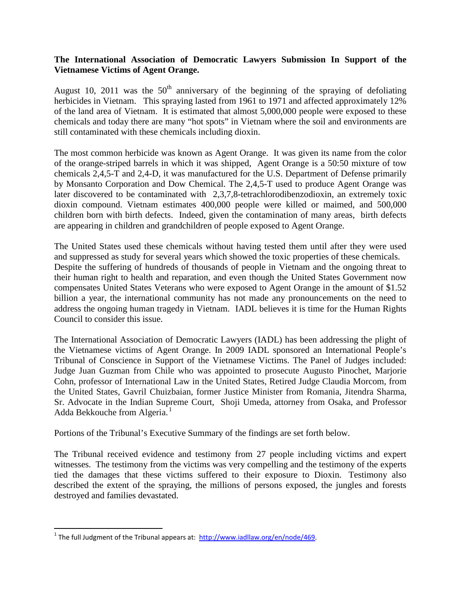## **The International Association of Democratic Lawyers Submission In Support of the Vietnamese Victims of Agent Orange.**

August 10, 2011 was the  $50<sup>th</sup>$  anniversary of the beginning of the spraying of defoliating herbicides in Vietnam. This spraying lasted from 1961 to 1971 and affected approximately 12% of the land area of Vietnam. It is estimated that almost 5,000,000 people were exposed to these chemicals and today there are many "hot spots" in Vietnam where the soil and environments are still contaminated with these chemicals including dioxin.

The most common herbicide was known as Agent Orange. It was given its name from the color of the orange-striped barrels in which it was shipped, Agent Orange is a 50:50 mixture of tow chemicals [2,4,5-T](http://en.wikipedia.org/wiki/2,4,5-T) and [2,4-D,](http://en.wikipedia.org/wiki/2,4-D) it was manufactured for the [U.S. Department of Defense](http://en.wikipedia.org/wiki/U.S._Department_of_Defense) primarily by [Monsanto Corporation](http://en.wikipedia.org/wiki/Monsanto_Corporation) and [Dow Chemical.](http://en.wikipedia.org/wiki/Dow_Chemical) The [2,4,5-T](http://en.wikipedia.org/wiki/2,4,5-T) used to produce Agent Orange was later discovered to be contaminated with [2,3,7,8-tetrachlorodibenzodioxin,](http://en.wikipedia.org/wiki/2,3,7,8-tetrachlorodibenzodioxin) an extremely toxic [dioxin compound.](http://en.wikipedia.org/wiki/Dioxin_compound) Vietnam estimates 400,000 people were killed or maimed, and 500,000 children born with [birth defects.](http://en.wikipedia.org/wiki/Birth_defects) Indeed, given the contamination of many areas, birth defects are appearing in children and grandchildren of people exposed to Agent Orange.

The United States used these chemicals without having tested them until after they were used and suppressed as study for several years which showed the toxic properties of these chemicals. Despite the suffering of hundreds of thousands of people in Vietnam and the ongoing threat to their human right to health and reparation, and even though the United States Government now compensates United States Veterans who were exposed to Agent Orange in the amount of \$1.52 billion a year, the international community has not made any pronouncements on the need to address the ongoing human tragedy in Vietnam. IADL believes it is time for the Human Rights Council to consider this issue.

The International Association of Democratic Lawyers (IADL) has been addressing the plight of the Vietnamese victims of Agent Orange. In 2009 IADL sponsored an International People's Tribunal of Conscience in Support of the Vietnamese Victims. The Panel of Judges included: Judge Juan Guzman from Chile who was appointed to prosecute Augusto Pinochet, Marjorie Cohn, professor of International Law in the United States, Retired Judge Claudia Morcom, from the United States, Gavril Chuizbaian, former Justice Minister from Romania, Jitendra Sharma, Sr. Advocate in the Indian Supreme Court, Shoji Umeda, attorney from Osaka, and Professor Adda Bekkouche from Algeria.<sup>1</sup>

Portions of the Tribunal's Executive Summary of the findings are set forth below.

The Tribunal received evidence and testimony from 27 people including victims and expert witnesses. The testimony from the victims was very compelling and the testimony of the experts tied the damages that these victims suffered to their exposure to Dioxin. Testimony also described the extent of the spraying, the millions of persons exposed, the jungles and forests destroyed and families devastated.

<sup>&</sup>lt;sup>1</sup> The full Judgment of the Tribunal appears at:  $\frac{http://www.iadllaw.org/en/node/469.}$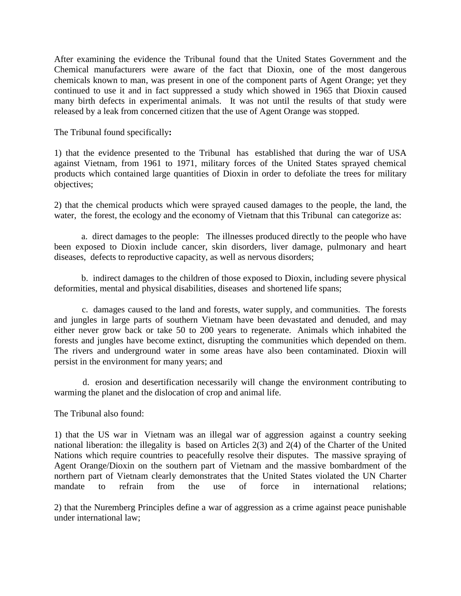After examining the evidence the Tribunal found that the United States Government and the Chemical manufacturers were aware of the fact that Dioxin, one of the most dangerous chemicals known to man, was present in one of the component parts of Agent Orange; yet they continued to use it and in fact suppressed a study which showed in 1965 that Dioxin caused many birth defects in experimental animals. It was not until the results of that study were released by a leak from concerned citizen that the use of Agent Orange was stopped.

The Tribunal found specifically**:**

1) that the evidence presented to the Tribunal has established that during the war of USA against Vietnam, from 1961 to 1971, military forces of the United States sprayed chemical products which contained large quantities of Dioxin in order to defoliate the trees for military objectives;

2) that the chemical products which were sprayed caused damages to the people, the land, the water, the forest, the ecology and the economy of Vietnam that this Tribunal can categorize as:

 a. direct damages to the people: The illnesses produced directly to the people who have been exposed to Dioxin include cancer, skin disorders, liver damage, pulmonary and heart diseases, defects to reproductive capacity, as well as nervous disorders;

 b. indirect damages to the children of those exposed to Dioxin, including severe physical deformities, mental and physical disabilities, diseases and shortened life spans;

 c. damages caused to the land and forests, water supply, and communities. The forests and jungles in large parts of southern Vietnam have been devastated and denuded, and may either never grow back or take 50 to 200 years to regenerate. Animals which inhabited the forests and jungles have become extinct, disrupting the communities which depended on them. The rivers and underground water in some areas have also been contaminated. Dioxin will persist in the environment for many years; and

 d. erosion and desertification necessarily will change the environment contributing to warming the planet and the dislocation of crop and animal life.

The Tribunal also found:

1) that the US war in Vietnam was an illegal war of aggression against a country seeking national liberation: the illegality is based on Articles 2(3) and 2(4) of the Charter of the United Nations which require countries to peacefully resolve their disputes. The massive spraying of Agent Orange/Dioxin on the southern part of Vietnam and the massive bombardment of the northern part of Vietnam clearly demonstrates that the United States violated the UN Charter mandate to refrain from the use of force in international relations;

2) that the Nuremberg Principles define a war of aggression as a crime against peace punishable under international law;